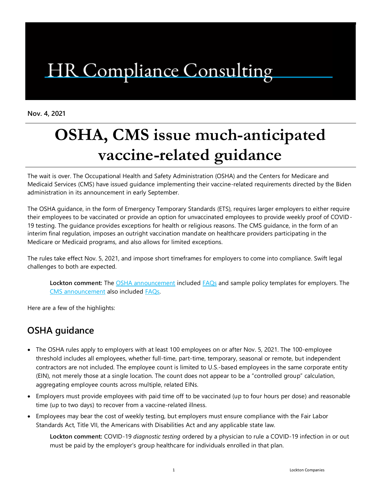# HR Compliance Consulting

**Nov. 4, 2021**

## **OSHA, CMS issue much-anticipated vaccine-related guidance**

The wait is over. The Occupational Health and Safety Administration (OSHA) and the Centers for Medicare and Medicaid Services (CMS) have issued guidance implementing their vaccine-related requirements directed by the Biden administration in its announcement in early September.

The OSHA guidance, in the form of Emergency Temporary Standards (ETS), requires larger employers to either require their employees to be vaccinated or provide an option for unvaccinated employees to provide weekly proof of COVID-19 testing. The guidance provides exceptions for health or religious reasons. The CMS guidance, in the form of an interim final regulation, imposes an outright vaccination mandate on healthcare providers participating in the Medicare or Medicaid programs, and also allows for limited exceptions.

The rules take effect Nov. 5, 2021, and impose short timeframes for employers to come into compliance. Swift legal challenges to both are expected.

**Lockton comment:** The [OSHA announcement](https://www.osha.gov/coronavirus/ets2) included [FAQs](https://www.osha.gov/coronavirus/ets2/faqs) and sample policy templates for employers. The [CMS announcement](https://public-inspection.federalregister.gov/2021-23831.pdf) also included [FAQs.](https://www.cms.gov/files/document/cms-omnibus-staff-vax-requirements-2021.pdf)

Here are a few of the highlights:

### **OSHA guidance**

- The OSHA rules apply to employers with at least 100 employees on or after Nov. 5, 2021. The 100-employee threshold includes all employees, whether full-time, part-time, temporary, seasonal or remote, but independent contractors are not included. The employee count is limited to U.S.-based employees in the same corporate entity (EIN), not merely those at a single location. The count does not appear to be a "controlled group" calculation, aggregating employee counts across multiple, related EINs.
- Employers must provide employees with paid time off to be vaccinated (up to four hours per dose) and reasonable time (up to two days) to recover from a vaccine-related illness.
- Employees may bear the cost of weekly testing, but employers must ensure compliance with the Fair Labor Standards Act, Title VII, the Americans with Disabilities Act and any applicable state law.

**Lockton comment:** COVID-19 *diagnostic testing* ordered by a physician to rule a COVID-19 infection in or out must be paid by the employer's group healthcare for individuals enrolled in that plan.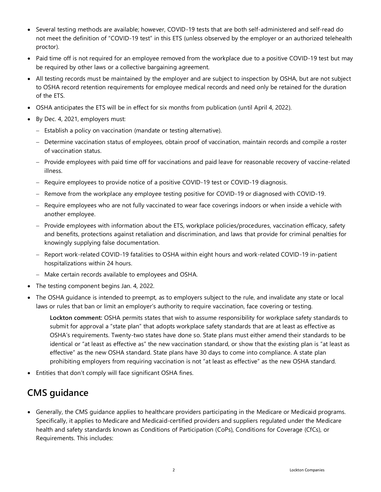- Several testing methods are available; however, COVID-19 tests that are both self-administered and self-read do not meet the definition of "COVID-19 test" in this ETS (unless observed by the employer or an authorized telehealth proctor).
- Paid time off is not required for an employee removed from the workplace due to a positive COVID-19 test but may be required by other laws or a collective bargaining agreement.
- All testing records must be maintained by the employer and are subject to inspection by OSHA, but are not subject to OSHA record retention requirements for employee medical records and need only be retained for the duration of the ETS.
- OSHA anticipates the ETS will be in effect for six months from publication (until April 4, 2022).
- By Dec. 4, 2021, employers must:
	- − Establish a policy on vaccination (mandate or testing alternative).
	- − Determine vaccination status of employees, obtain proof of vaccination, maintain records and compile a roster of vaccination status.
	- − Provide employees with paid time off for vaccinations and paid leave for reasonable recovery of vaccine-related illness.
	- − Require employees to provide notice of a positive COVID-19 test or COVID-19 diagnosis.
	- − Remove from the workplace any employee testing positive for COVID-19 or diagnosed with COVID-19.
	- − Require employees who are not fully vaccinated to wear face coverings indoors or when inside a vehicle with another employee.
	- − Provide employees with information about the ETS, workplace policies/procedures, vaccination efficacy, safety and benefits, protections against retaliation and discrimination, and laws that provide for criminal penalties for knowingly supplying false documentation.
	- − Report work-related COVID-19 fatalities to OSHA within eight hours and work-related COVID-19 in-patient hospitalizations within 24 hours.
	- − Make certain records available to employees and OSHA.
- The testing component begins Jan. 4, 2022.
- The OSHA guidance is intended to preempt, as to employers subject to the rule, and invalidate any state or local laws or rules that ban or limit an employer's authority to require vaccination, face covering or testing.

**Lockton comment:** OSHA permits states that wish to assume responsibility for workplace safety standards to submit for approval a "state plan" that adopts workplace safety standards that are at least as effective as OSHA's requirements. Twenty-two states have done so. State plans must either amend their standards to be identical or "at least as effective as" the new vaccination standard, or show that the existing plan is "at least as effective" as the new OSHA standard. State plans have 30 days to come into compliance. A state plan prohibiting employers from requiring vaccination is not "at least as effective" as the new OSHA standard.

• Entities that don't comply will face significant OSHA fines.

### **CMS guidance**

• Generally, the CMS guidance applies to healthcare providers participating in the Medicare or Medicaid programs. Specifically, it applies to Medicare and Medicaid-certified providers and suppliers regulated under the Medicare health and safety standards known as Conditions of Participation (CoPs), Conditions for Coverage (CfCs), or Requirements. This includes: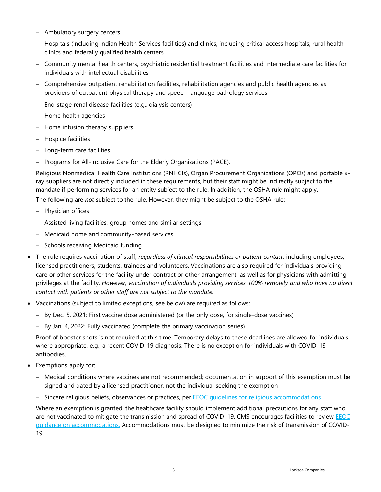- − Ambulatory surgery centers
- − Hospitals (including Indian Health Services facilities) and clinics, including critical access hospitals, rural health clinics and federally qualified health centers
- − Community mental health centers, psychiatric residential treatment facilities and intermediate care facilities for individuals with intellectual disabilities
- − Comprehensive outpatient rehabilitation facilities, rehabilitation agencies and public health agencies as providers of outpatient physical therapy and speech-language pathology services
- − End-stage renal disease facilities (e.g., dialysis centers)
- − Home health agencies
- − Home infusion therapy suppliers
- − Hospice facilities
- − Long-term care facilities
- − Programs for All-Inclusive Care for the Elderly Organizations (PACE).

Religious Nonmedical Health Care Institutions (RNHCIs), Organ Procurement Organizations (OPOs) and portable xray suppliers are not directly included in these requirements, but their staff might be indirectly subject to the mandate if performing services for an entity subject to the rule. In addition, the OSHA rule might apply.

The following are *not* subject to the rule. However, they might be subject to the OSHA rule:

- − Physician offices
- − Assisted living facilities, group homes and similar settings
- − Medicaid home and community-based services
- − Schools receiving Medicaid funding
- The rule requires vaccination of staff, *regardless of clinical responsibilities or patient contact,* including employees, licensed practitioners, students, trainees and volunteers. Vaccinations are also required for individuals providing care or other services for the facility under contract or other arrangement, as well as for physicians with admitting privileges at the facility. *However, vaccination of individuals providing services 100% remotely and who have no direct contact with patients or other staff are not subject to the mandate.*
- Vaccinations (subject to limited exceptions, see below) are required as follows:
	- − By Dec. 5. 2021: First vaccine dose administered (or the only dose, for single-dose vaccines)
	- − By Jan. 4, 2022: Fully vaccinated (complete the primary vaccination series)

Proof of booster shots is not required at this time. Temporary delays to these deadlines are allowed for individuals where appropriate, e.g., a recent COVID-19 diagnosis. There is no exception for individuals with COVID-19 antibodies.

- Exemptions apply for:
	- − Medical conditions where vaccines are not recommended; documentation in support of this exemption must be signed and dated by a licensed practitioner, not the individual seeking the exemption
	- − Sincere religious beliefs, observances or practices, per EEOC guidelines for religious [accommodations](https://www.eeoc.gov/wysk/what-you-should-know-about-covid-19-and-ada-rehabilitation-act-and-other-eeo-laws)

Where an exemption is granted, the healthcare facility should implement additional precautions for any staff who are not vaccinated to mitigate the transmission and spread of COVID-19. CMS encourages facilities to review EEOC [guidance on accommodations.](https://www.eeoc.gov/wysk/what-you-should-know-about-covid-19-and-ada-rehabilitation-act-and-other-eeo-laws) Accommodations must be designed to minimize the risk of transmission of COVID-19.